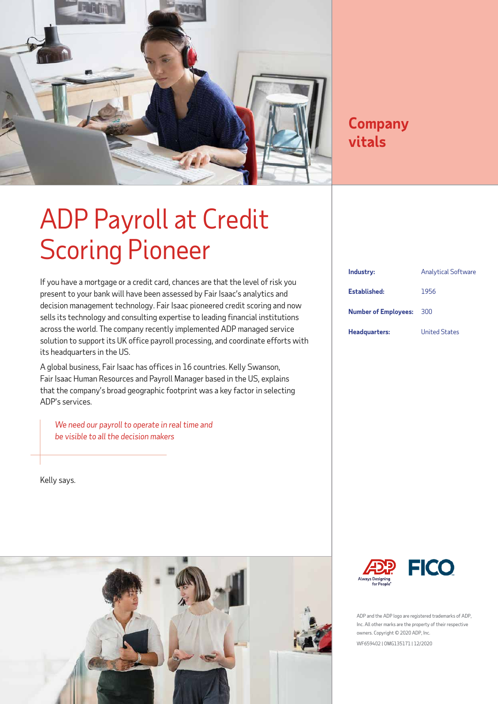

### **Company vitals**

## ADP Payroll at Credit Scoring Pioneer

If you have a mortgage or a credit card, chances are that the level of risk you present to your bank will have been assessed by Fair Isaac's analytics and decision management technology. Fair Isaac pioneered credit scoring and now sells its technology and consulting expertise to leading financial institutions across the world. The company recently implemented ADP managed service solution to support its UK office payroll processing, and coordinate efforts with its headquarters in the US.

A global business, Fair Isaac has offices in 16 countries. Kelly Swanson, Fair Isaac Human Resources and Payroll Manager based in the US, explains that the company's broad geographic footprint was a key factor in selecting ADP's services.

*We need our payroll to operate in real time and be visible to all the decision makers* 

Kelly says.



| Industry:                   | <b>Analytical Software</b> |
|-----------------------------|----------------------------|
| Established:                | 1956                       |
| <b>Number of Employees:</b> | 300                        |
| Headquarters:               | <b>United States</b>       |



ADP and the ADP logo are registered trademarks of ADP, Inc. All other marks are the property of their respective owners. Copyright © 2020 ADP, Inc. WF659402 | OMG135171 | 12/2020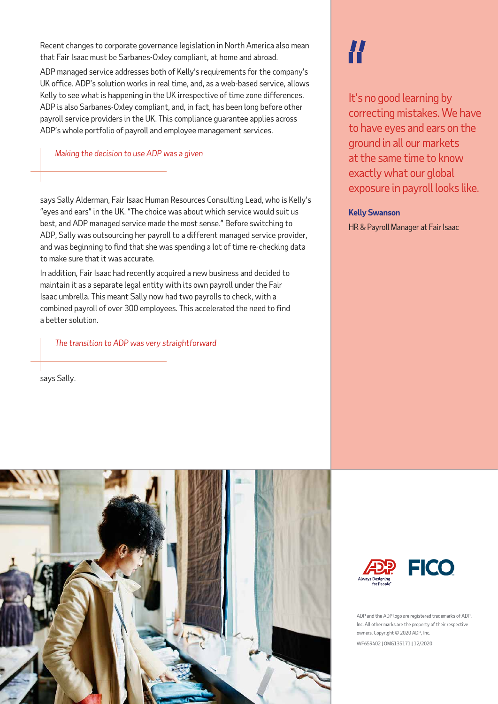Recent changes to corporate governance legislation in North America also mean that Fair Isaac must be Sarbanes-Oxley compliant, at home and abroad.

ADP managed service addresses both of Kelly's requirements for the company's UK office. ADP's solution works in real time, and, as a web-based service, allows Kelly to see what is happening in the UK irrespective of time zone differences. ADP is also Sarbanes-Oxley compliant, and, in fact, has been long before other payroll service providers in the UK. This compliance guarantee applies across ADP's whole portfolio of payroll and employee management services.

### *Making the decision to use ADP was a given*

says Sally Alderman, Fair Isaac Human Resources Consulting Lead, who is Kelly's "eyes and ears" in the UK. "The choice was about which service would suit us best, and ADP managed service made the most sense." Before switching to ADP, Sally was outsourcing her payroll to a different managed service provider, and was beginning to find that she was spending a lot of time re-checking data to make sure that it was accurate.

In addition, Fair Isaac had recently acquired a new business and decided to maintain it as a separate legal entity with its own payroll under the Fair Isaac umbrella. This meant Sally now had two payrolls to check, with a combined payroll of over 300 employees. This accelerated the need to find a better solution.

*The transition to ADP was very straightforward* 

says Sally.

# H

It's no good learning by correcting mistakes. We have to have eyes and ears on the ground in all our markets at the same time to know exactly what our global exposure in payroll looks like.

#### **Kelly Swanson**

HR & Payroll Manager at Fair Isaac





ADP and the ADP logo are registered trademarks of ADP, Inc. All other marks are the property of their respective owners. Copyright © 2020 ADP, Inc. WF659402 | OMG135171 | 12/2020